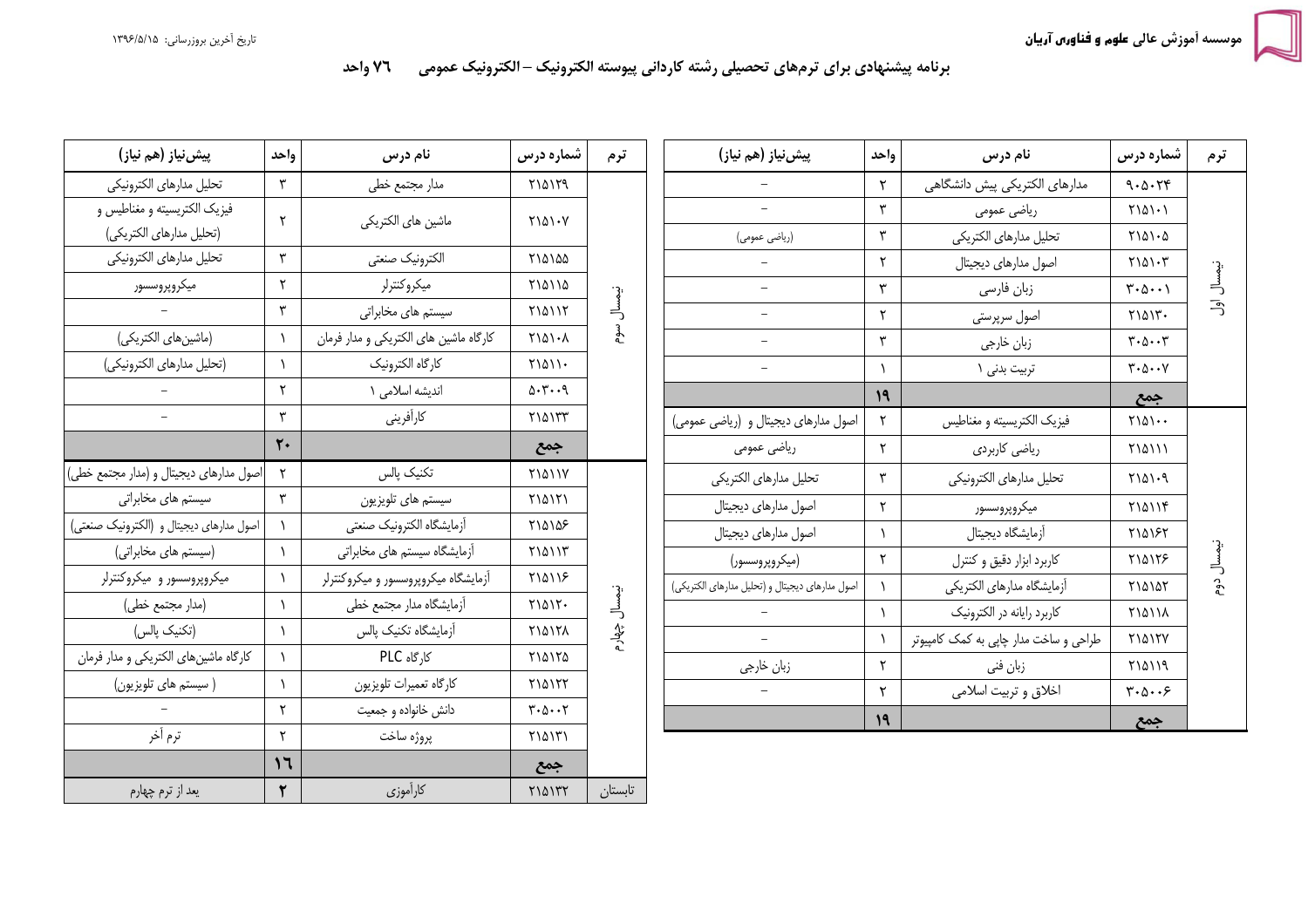## برنامه پیشنهادی برای ترمهای تحصیلی رشته کاردانی پیوسته الکترونیک – الکترونیک عمومی ۔۔ ٧٦ واحد

| پیش نیاز (هم نیاز)                       | واحد           | نام درس                                | شماره درس                                        | ترم             |  | پیش نیاز (هم نیاز)                              | واحد      | نام درس                                | شماره درس                                            | ترم        |
|------------------------------------------|----------------|----------------------------------------|--------------------------------------------------|-----------------|--|-------------------------------------------------|-----------|----------------------------------------|------------------------------------------------------|------------|
| تحليل مدارهاى الكترونيكي                 | ٣              | مدار مجتمع خطى                         | <b>710179</b>                                    |                 |  |                                                 | ۲         | مدارهای الکتریکی پیش دانشگاهی          | 9.0.79                                               |            |
| فيزيک الکتريسيته و مغناطيس و             | $\mathsf{r}$   | ماشين هاى الكتريكي                     | $Y \setminus \Delta \setminus \cdot V$           |                 |  | $\overline{\phantom{0}}$                        | ٣         | رياضي عمومي                            | $Y \setminus \Delta \setminus \cdot$                 |            |
| (تحليل مدارهاي الكتريكي)                 |                |                                        |                                                  |                 |  | (ریاضی عمومی)                                   | ٣         | تحليل مدارهاى الكتريكي                 | $Y \setminus \Delta \setminus \cdot \Delta$          |            |
| تحليل مدارهاى الكترونيكي                 | $\mathbf{r}$   | الكترونيك صنعتى                        | ٢١۵١۵۵                                           |                 |  | $\qquad \qquad -$                               | ٢         | اصول مدارهای دیجیتال                   | $Y \setminus \Delta \setminus \cdot Y$               |            |
| ميكروپروسسور                             | $\mathsf{r}$   | ميكروكنترلر                            | ٢١۵١١۵                                           |                 |  | $\overline{\phantom{a}}$                        | ٣         | زبان فارسى                             | $\uparrow\cdot\uparrow\cdot\uparrow$                 | نيمسال اول |
|                                          | $\mathbf{r}$   | سیستم های مخابراتی                     | <b>MAIIT</b>                                     | نيمسال          |  | $-$                                             | ٢         | اصول سرپرستی                           | $Y \setminus \Delta \setminus Y$ .                   |            |
| (ماشين هاي الكتريكي)                     |                | كارگاه ماشين هاي الكتريكي و مدار فرمان | $Y \setminus \Delta \setminus \cdot \Lambda$     | سوم             |  |                                                 | ٣         | زبان خارجي                             | $\mathbf{y} \cdot \mathbf{y} \cdot \mathbf{y}$       |            |
| (تحليل مدارهاي الكترونيكي)               | $\lambda$      | كارگاه الكترونيك                       | $Y\backslash \Delta \backslash \backslash \cdot$ |                 |  |                                                 | $\lambda$ | تربيت بدني ١                           | $\mathbf{y} \cdot \mathbf{y} \cdot \mathbf{y}$       |            |
|                                          | $\mathsf{r}$   | اندیشه اسلامی ۱                        | $\Delta$ . $\mu$ 9                               |                 |  |                                                 | ۱۹        |                                        | جمع                                                  |            |
|                                          | $\mathbf{r}$   | كارأفريني                              | ٢١۵١٣٣                                           |                 |  | اصول مدارهای دیجیتال و (ریاضی عمومی)            |           | فيزيک الكتريسيته و مغناطيس             | $Y \setminus \Delta \setminus \cdot$                 |            |
|                                          | $\mathbf{r}$ . |                                        | جمع                                              |                 |  | ریاضی عمومی                                     | ٢         | ریاضی کاربردی                          | <b>MAIII</b>                                         |            |
| اصول مدارهای دیجیتال و (مدار مجتمع خطی)  | $\mathsf{r}$   | تكنيك پالس                             | <b>TIAIIV</b>                                    |                 |  | تحليل مدارهاى الكتريكي                          | ٣         | تحليل مدارهاى الكترونيكي               | $Y \setminus \Delta \setminus \cdot \mathcal{A}$     |            |
| سیستم های مخابراتی                       | $\mathbf{r}$   | سیستم های تلویزیون                     | <b>MAITI</b>                                     |                 |  | اصول مدارهای دیجیتال                            | ٢         | ميكروپروسسور                           | Y10119                                               |            |
| اصول مدارهای دیجیتال و (الکترونیک صنعتی) |                | أزمايشگاه الكترونيك صنعتى              | ٢١۵١۵۶                                           |                 |  | اصول مدارهای دیجیتال                            |           | أزمايشگاه ديجيتال                      | <b>MA187</b>                                         |            |
| (سیستم های مخابراتی)                     |                | آزمایشگاه سیستم های مخابراتی           | $Y$ $0$ $Y$                                      |                 |  | (ميكروپروسسور)                                  | ٢         | كاربرد ابزار دقيق وكنترل               | <b>MA178</b>                                         | نيمسال     |
| میکروپروسسور و میکروکنترلر               | $\lambda$      | أزمايشگاه ميكروپروسسور و ميكروكنترلر   | $Y$ $0$ $1$ $5$                                  | نيمسال<br>چھارم |  | اصول مدارهای دیجیتال و (تحلیل مدارهای الکتریکی) |           | أزمايشكاه مدارهاى الكتريكي             | ٢١۵١٥٢                                               | <b>გე</b>  |
| (مدار مجتمع خطى)                         |                | أزمايشگاه مدار مجتمع خطى               | $Y \setminus \Delta \setminus Y$                 |                 |  |                                                 | $\lambda$ | کاربرد رایانه در الکترونیک             | <b>٢١۵١١٨</b>                                        |            |
| (تكنيك پالس)                             | $\lambda$      | أزمايشكاه تكنيك پالس                   | ٢١۵١٢٨                                           |                 |  | $\overline{a}$                                  |           | طراحی و ساخت مدار چاپی به کمک کامپیوتر | <b>MA15V</b>                                         |            |
| كارگاه ماشين هاي الكتريكي و مدار فرمان   |                | کا,گاه PLC                             | ٢١۵١٢٥                                           |                 |  | زبان خارجي                                      | ٢         | زبان فني                               | <b>710119</b>                                        |            |
| ( سیستم های تلویزیون)                    | $\lambda$      | كارگاه تعميرات تلويزيون                | <b>MAITT</b>                                     |                 |  | $\overline{\phantom{a}}$                        | ٢         | اخلاق و تربيت اسلامي                   | $\mathbf{y} \cdot \mathbf{y} \cdot \cdot \mathbf{y}$ |            |
|                                          | $\mathsf{r}$   | دانش خانواده و جمعیت                   | $Y \cdot \Delta \cdot \cdot Y$                   |                 |  |                                                 | 19        |                                        | جمع                                                  |            |
| ترم أخر                                  | $\mathsf{r}$   | پروژه ساخت                             | ٢١۵١٣١                                           |                 |  |                                                 |           |                                        |                                                      |            |
|                                          | 17             |                                        | جمع                                              |                 |  |                                                 |           |                                        |                                                      |            |
| یعد از ترم چهارم                         | $\mathbf{r}$   | كارأموزي                               | $Y$ $\land$ $YY$                                 | تابستان         |  |                                                 |           |                                        |                                                      |            |